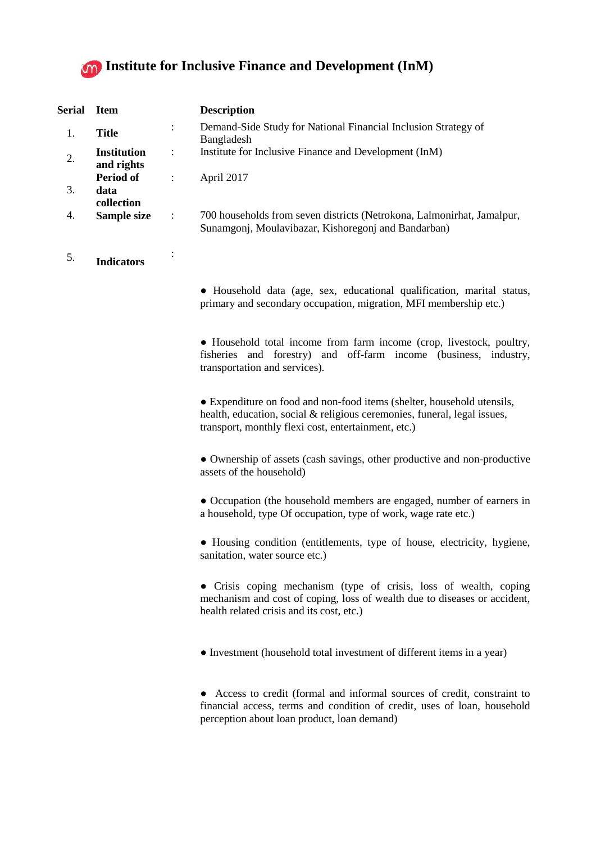

| Serial | <b>Item</b>                      |                | <b>Description</b>                                                                                                            |
|--------|----------------------------------|----------------|-------------------------------------------------------------------------------------------------------------------------------|
| 1.     | <b>Title</b>                     | ÷              | Demand-Side Study for National Financial Inclusion Strategy of<br>Bangladesh                                                  |
|        | <b>Institution</b><br>and rights | ÷              | Institute for Inclusive Finance and Development (InM)                                                                         |
|        | Period of                        |                | April 2017                                                                                                                    |
| 3.     | data<br>collection               |                |                                                                                                                               |
| 4.     | Sample size                      | $\ddot{\cdot}$ | 700 households from seven districts (Netrokona, Lalmonirhat, Jamalpur,<br>Sunamgonj, Moulavibazar, Kishoregonj and Bandarban) |

5. **Indicators**

:

● Household data (age, sex, educational qualification, marital status, primary and secondary occupation, migration, MFI membership etc.)

● Household total income from farm income (crop, livestock, poultry, fisheries and forestry) and off-farm income (business, industry, transportation and services).

• Expenditure on food and non-food items (shelter, household utensils, health, education, social & religious ceremonies, funeral, legal issues, transport, monthly flexi cost, entertainment, etc.)

● Ownership of assets (cash savings, other productive and non-productive assets of the household)

● Occupation (the household members are engaged, number of earners in a household, type Of occupation, type of work, wage rate etc.)

• Housing condition (entitlements, type of house, electricity, hygiene, sanitation, water source etc.)

● Crisis coping mechanism (type of crisis, loss of wealth, coping mechanism and cost of coping, loss of wealth due to diseases or accident, health related crisis and its cost, etc.)

● Investment (household total investment of different items in a year)

● Access to credit (formal and informal sources of credit, constraint to financial access, terms and condition of credit, uses of loan, household perception about loan product, loan demand)